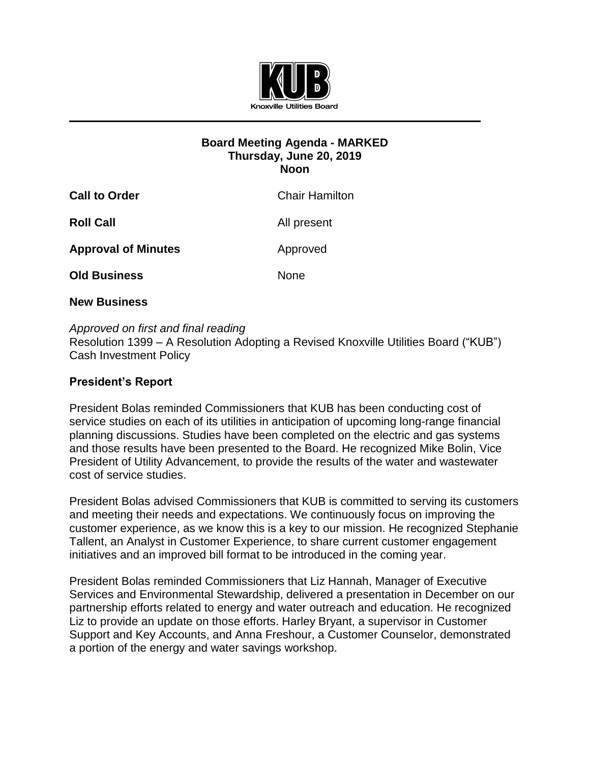

## **Board Meeting Agenda - MARKED Thursday, June 20, 2019 Noon**

| <b>Call to Order</b>       | <b>Chair Hamilton</b> |
|----------------------------|-----------------------|
| <b>Roll Call</b>           | All present           |
| <b>Approval of Minutes</b> | Approved              |
| <b>Old Business</b>        | <b>None</b>           |
|                            |                       |

## **New Business**

## *Approved on first and final reading*

Resolution 1399 – A Resolution Adopting a Revised Knoxville Utilities Board ("KUB") Cash Investment Policy

## **President's Report**

President Bolas reminded Commissioners that KUB has been conducting cost of service studies on each of its utilities in anticipation of upcoming long-range financial planning discussions. Studies have been completed on the electric and gas systems and those results have been presented to the Board. He recognized Mike Bolin, Vice President of Utility Advancement, to provide the results of the water and wastewater cost of service studies.

President Bolas advised Commissioners that KUB is committed to serving its customers and meeting their needs and expectations. We continuously focus on improving the customer experience, as we know this is a key to our mission. He recognized Stephanie Tallent, an Analyst in Customer Experience, to share current customer engagement initiatives and an improved bill format to be introduced in the coming year.

President Bolas reminded Commissioners that Liz Hannah, Manager of Executive Services and Environmental Stewardship, delivered a presentation in December on our partnership efforts related to energy and water outreach and education. He recognized Liz to provide an update on those efforts. Harley Bryant, a supervisor in Customer Support and Key Accounts, and Anna Freshour, a Customer Counselor, demonstrated a portion of the energy and water savings workshop.